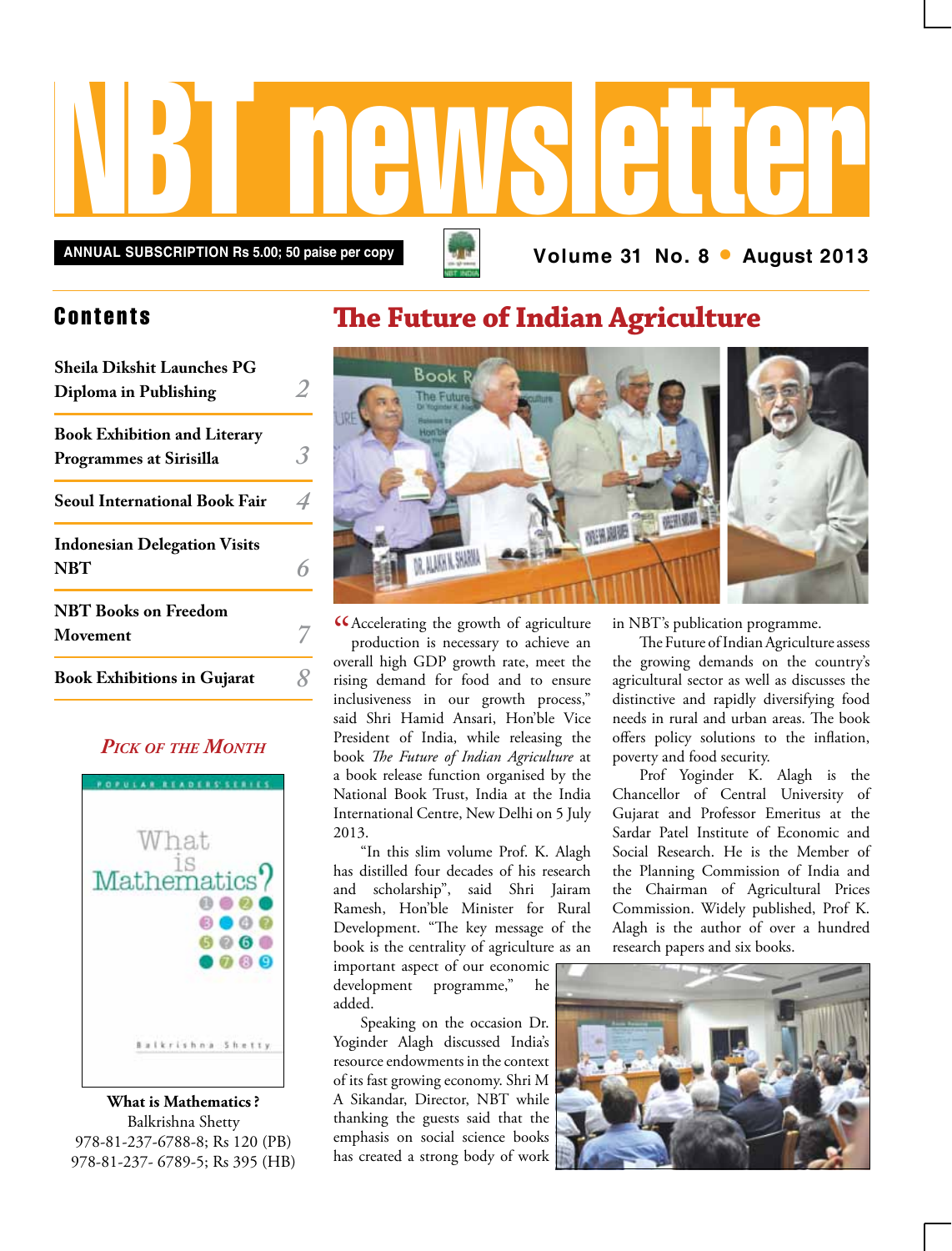# NBT newsletter

**Annual subscription Rs 5.00; 50 paise per copy Volume 31 No. 8 • August 2013**

## **Contents**

| <b>Sheila Dikshit Launches PG</b><br>Diploma in Publishing            |  |
|-----------------------------------------------------------------------|--|
| <b>Book Exhibition and Literary</b><br><b>Programmes at Sirisilla</b> |  |
| <b>Seoul International Book Fair</b>                                  |  |
| <b>Indonesian Delegation Visits</b><br><b>NBT</b>                     |  |
| <b>NBT</b> Books on Freedom<br>Movement                               |  |
| <b>Book Exhibitions in Gujarat</b>                                    |  |

### *Pick of the Month*



**What is Mathematics ?** Balkrishna Shetty 978-81-237-6788-8; Rs 120 (PB) 978-81-237- 6789-5; Rs 395 (HB)

## **The Future of Indian Agriculture**



CAccelerating the growth of agriculture<br>production is necessary to achieve an<br>ultil CDD production is necessary to achieve an overall high GDP growth rate, meet the rising demand for food and to ensure inclusiveness in our growth process," said Shri Hamid Ansari, Hon'ble Vice President of India, while releasing the book *The Future of Indian Agriculture* at a book release function organised by the National Book Trust, India at the India International Centre, New Delhi on 5 July 2013.

"In this slim volume Prof. K. Alagh has distilled four decades of his research and scholarship", said Shri Jairam Ramesh, Hon'ble Minister for Rural Development. "The key message of the book is the centrality of agriculture as an

important aspect of our economic development programme," he added.

Speaking on the occasion Dr. Yoginder Alagh discussed India's resource endowments in the context of its fast growing economy. Shri M A Sikandar, Director, NBT while thanking the guests said that the emphasis on social science books has created a strong body of work in NBT's publication programme.

The Future of Indian Agriculture assess the growing demands on the country's agricultural sector as well as discusses the distinctive and rapidly diversifying food needs in rural and urban areas. The book offers policy solutions to the inflation, poverty and food security.

Prof Yoginder K. Alagh is the Chancellor of Central University of Gujarat and Professor Emeritus at the Sardar Patel Institute of Economic and Social Research. He is the Member of the Planning Commission of India and the Chairman of Agricultural Prices Commission. Widely published, Prof K. Alagh is the author of over a hundred research papers and six books.

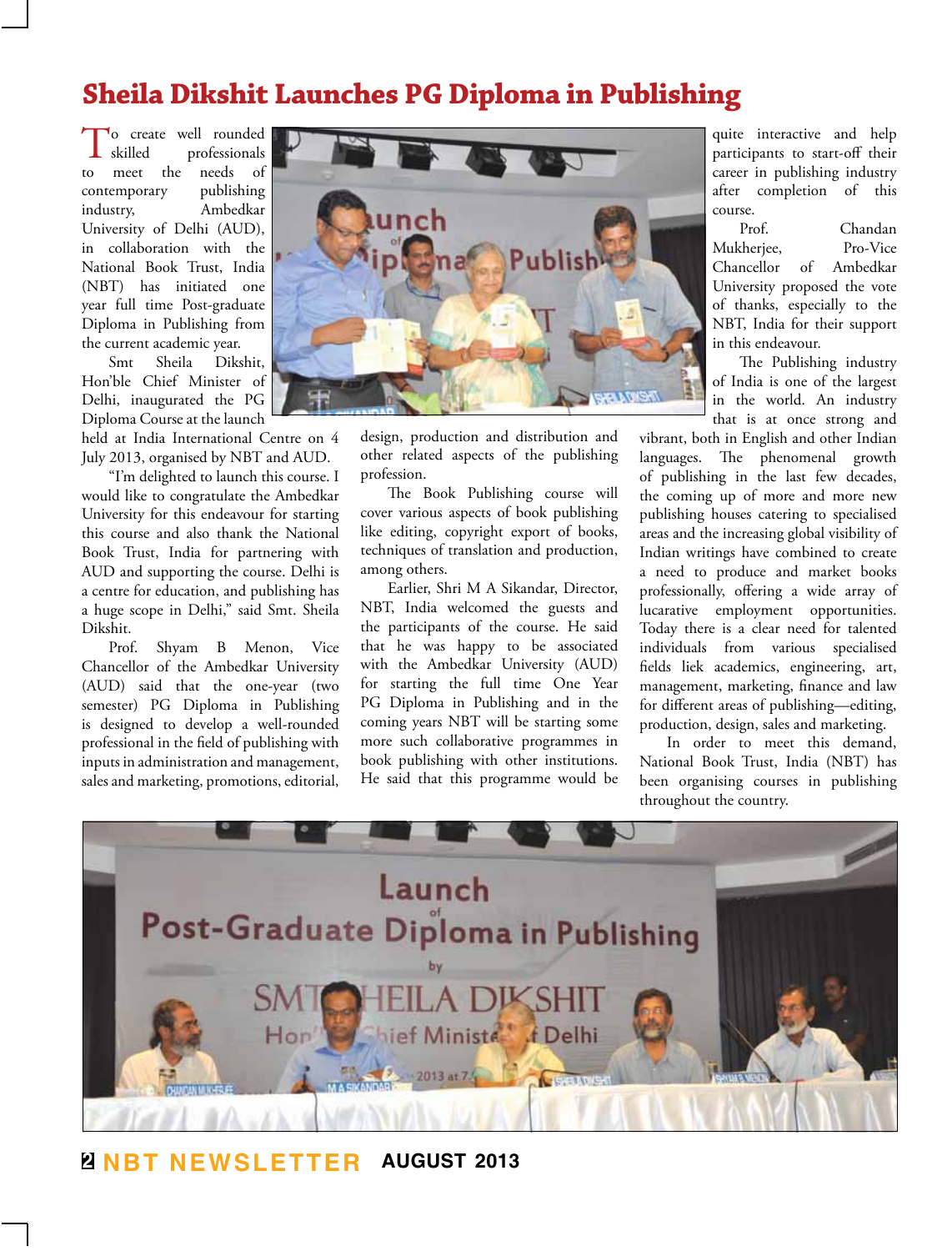## **Sheila Dikshit Launches PG Diploma in Publishing**

To create well rounded<br>skilled professionals<br>to meet the needs of professionals meet the contemporary publishing industry, Ambedkar University of Delhi (AUD), in collaboration with the National Book Trust, India (NBT) has initiated one year full time Post-graduate Diploma in Publishing from the current academic year.

Smt Sheila Dikshit, Hon'ble Chief Minister of Delhi, inaugurated the PG Diploma Course at the launch

held at India International Centre on 4 July 2013, organised by NBT and AUD.

"I'm delighted to launch this course. I would like to congratulate the Ambedkar University for this endeavour for starting this course and also thank the National Book Trust, India for partnering with AUD and supporting the course. Delhi is a centre for education, and publishing has a huge scope in Delhi," said Smt. Sheila Dikshit.

Prof. Shyam B Menon, Vice Chancellor of the Ambedkar University (AUD) said that the one-year (two semester) PG Diploma in Publishing is designed to develop a well-rounded professional in the field of publishing with inputs in administration and management, sales and marketing, promotions, editorial,



design, production and distribution and other related aspects of the publishing profession.

The Book Publishing course will cover various aspects of book publishing like editing, copyright export of books, techniques of translation and production, among others.

Earlier, Shri M A Sikandar, Director, NBT, India welcomed the guests and the participants of the course. He said that he was happy to be associated with the Ambedkar University (AUD) for starting the full time One Year PG Diploma in Publishing and in the coming years NBT will be starting some more such collaborative programmes in book publishing with other institutions. He said that this programme would be

quite interactive and help participants to start-off their career in publishing industry after completion of this course.

Prof. Chandan Mukherjee, Pro-Vice Chancellor of Ambedkar University proposed the vote of thanks, especially to the NBT, India for their support in this endeavour.

The Publishing industry of India is one of the largest in the world. An industry that is at once strong and

vibrant, both in English and other Indian languages. The phenomenal growth of publishing in the last few decades, the coming up of more and more new publishing houses catering to specialised areas and the increasing global visibility of Indian writings have combined to create a need to produce and market books professionally, offering a wide array of lucarative employment opportunities. Today there is a clear need for talented individuals from various specialised fields liek academics, engineering, art, management, marketing, finance and law for different areas of publishing—editing, production, design, sales and marketing.

In order to meet this demand, National Book Trust, India (NBT) has been organising courses in publishing throughout the country.



**2 NBT Newsletter august 2013**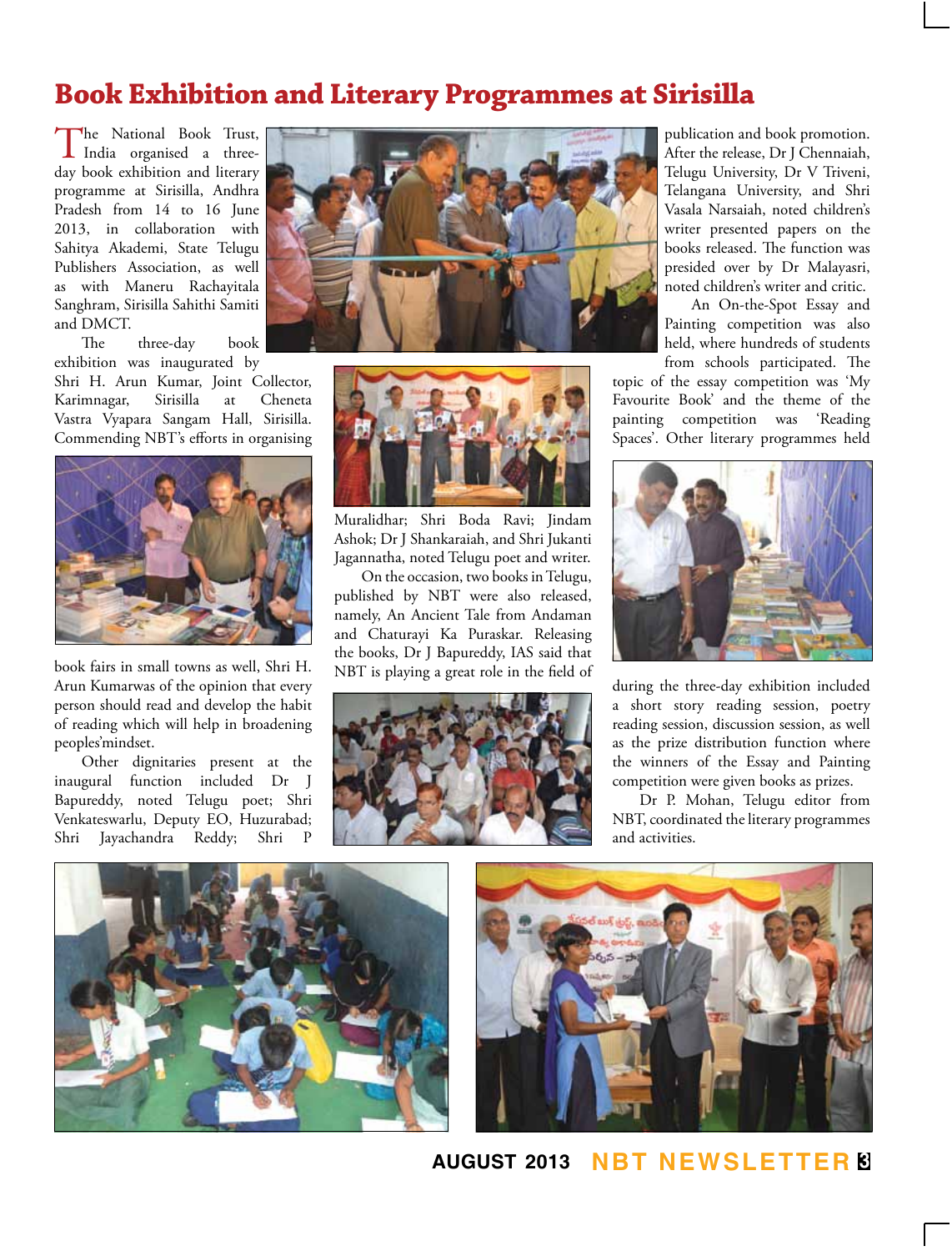## **Book Exhibition and Literary Programmes at Sirisilla**

The National Book Trust, India organised a threeday book exhibition and literary programme at Sirisilla, Andhra Pradesh from 14 to 16 June 2013, in collaboration with Sahitya Akademi, State Telugu Publishers Association, as well as with Maneru Rachayitala Sanghram, Sirisilla Sahithi Samiti and DMCT.

The three-day book exhibition was inaugurated by

Shri H. Arun Kumar, Joint Collector, Karimnagar, Sirisilla at Cheneta Vastra Vyapara Sangam Hall, Sirisilla. Commending NBT's efforts in organising



book fairs in small towns as well, Shri H. Arun Kumarwas of the opinion that every person should read and develop the habit of reading which will help in broadening peoples'mindset.

Other dignitaries present at the inaugural function included Dr J Bapureddy, noted Telugu poet; Shri Venkateswarlu, Deputy EO, Huzurabad; Shri Jayachandra Reddy; Shri





Muralidhar; Shri Boda Ravi; Jindam Ashok; Dr J Shankaraiah, and Shri Jukanti Jagannatha, noted Telugu poet and writer.

On the occasion, two books in Telugu, published by NBT were also released, namely, An Ancient Tale from Andaman and Chaturayi Ka Puraskar. Releasing the books, Dr J Bapureddy, IAS said that NBT is playing a great role in the field of



publication and book promotion. After the release, Dr J Chennaiah, Telugu University, Dr V Triveni, Telangana University, and Shri Vasala Narsaiah, noted children's writer presented papers on the books released. The function was presided over by Dr Malayasri, noted children's writer and critic.

An On-the-Spot Essay and Painting competition was also held, where hundreds of students from schools participated. The

topic of the essay competition was 'My Favourite Book' and the theme of the painting competition was 'Reading Spaces'. Other literary programmes held



during the three-day exhibition included a short story reading session, poetry reading session, discussion session, as well as the prize distribution function where the winners of the Essay and Painting competition were given books as prizes.

Dr P. Mohan, Telugu editor from NBT, coordinated the literary programmes and activities.





## **august 2013 NBT Newsletter 3**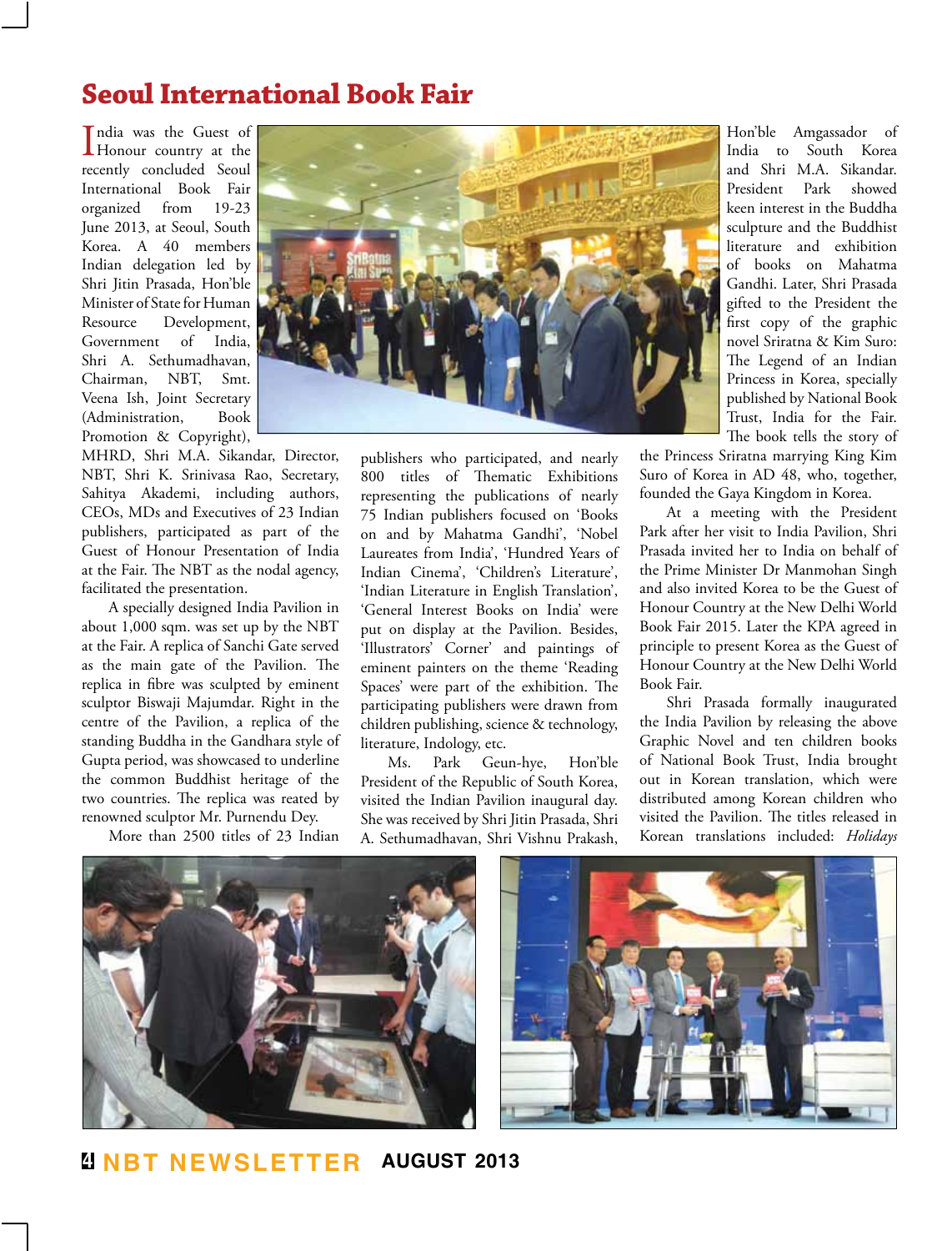## **Seoul International Book Fair**

India was the Guest of<br>Honour country at the ndia was the Guest of recently concluded Seoul International Book Fair<br>organized from 19-23 organized from June 2013, at Seoul, South Korea. A 40 members Indian delegation led by Shri Jitin Prasada, Hon'ble Minister of State for Human Resource Development, Government of India, Shri A. Sethumadhavan, Chairman, NBT, Smt. Veena Ish, Joint Secretary (Administration, Book Promotion & Copyright),

MHRD, Shri M.A. Sikandar, Director, NBT, Shri K. Srinivasa Rao, Secretary, Sahitya Akademi, including authors, CEOs, MDs and Executives of 23 Indian publishers, participated as part of the Guest of Honour Presentation of India at the Fair. The NBT as the nodal agency, facilitated the presentation.

A specially designed India Pavilion in about 1,000 sqm. was set up by the NBT at the Fair. A replica of Sanchi Gate served as the main gate of the Pavilion. The replica in fibre was sculpted by eminent sculptor Biswaji Majumdar. Right in the centre of the Pavilion, a replica of the standing Buddha in the Gandhara style of Gupta period, was showcased to underline the common Buddhist heritage of the two countries. The replica was reated by renowned sculptor Mr. Purnendu Dey.

More than 2500 titles of 23 Indian



publishers who participated, and nearly 800 titles of Thematic Exhibitions representing the publications of nearly 75 Indian publishers focused on 'Books on and by Mahatma Gandhi', 'Nobel Laureates from India', 'Hundred Years of Indian Cinema', 'Children's Literature', 'Indian Literature in English Translation', 'General Interest Books on India' were put on display at the Pavilion. Besides, 'Illustrators' Corner' and paintings of eminent painters on the theme 'Reading Spaces' were part of the exhibition. The participating publishers were drawn from children publishing, science & technology, literature, Indology, etc.

Ms. Park Geun-hye, Hon'ble President of the Republic of South Korea, visited the Indian Pavilion inaugural day. She was received by Shri Jitin Prasada, Shri A. Sethumadhavan, Shri Vishnu Prakash,

Hon'ble Amgassador of India to South Korea and Shri M.A. Sikandar. President Park showed keen interest in the Buddha sculpture and the Buddhist literature and exhibition of books on Mahatma Gandhi. Later, Shri Prasada gifted to the President the first copy of the graphic novel Sriratna & Kim Suro: The Legend of an Indian Princess in Korea, specially published by National Book Trust, India for the Fair. The book tells the story of

the Princess Sriratna marrying King Kim Suro of Korea in AD 48, who, together, founded the Gaya Kingdom in Korea.

At a meeting with the President Park after her visit to India Pavilion, Shri Prasada invited her to India on behalf of the Prime Minister Dr Manmohan Singh and also invited Korea to be the Guest of Honour Country at the New Delhi World Book Fair 2015. Later the KPA agreed in principle to present Korea as the Guest of Honour Country at the New Delhi World Book Fair.

Shri Prasada formally inaugurated the India Pavilion by releasing the above Graphic Novel and ten children books of National Book Trust, India brought out in Korean translation, which were distributed among Korean children who visited the Pavilion. The titles released in Korean translations included: *Holidays* 





**4 NBT Newsletter august 2013**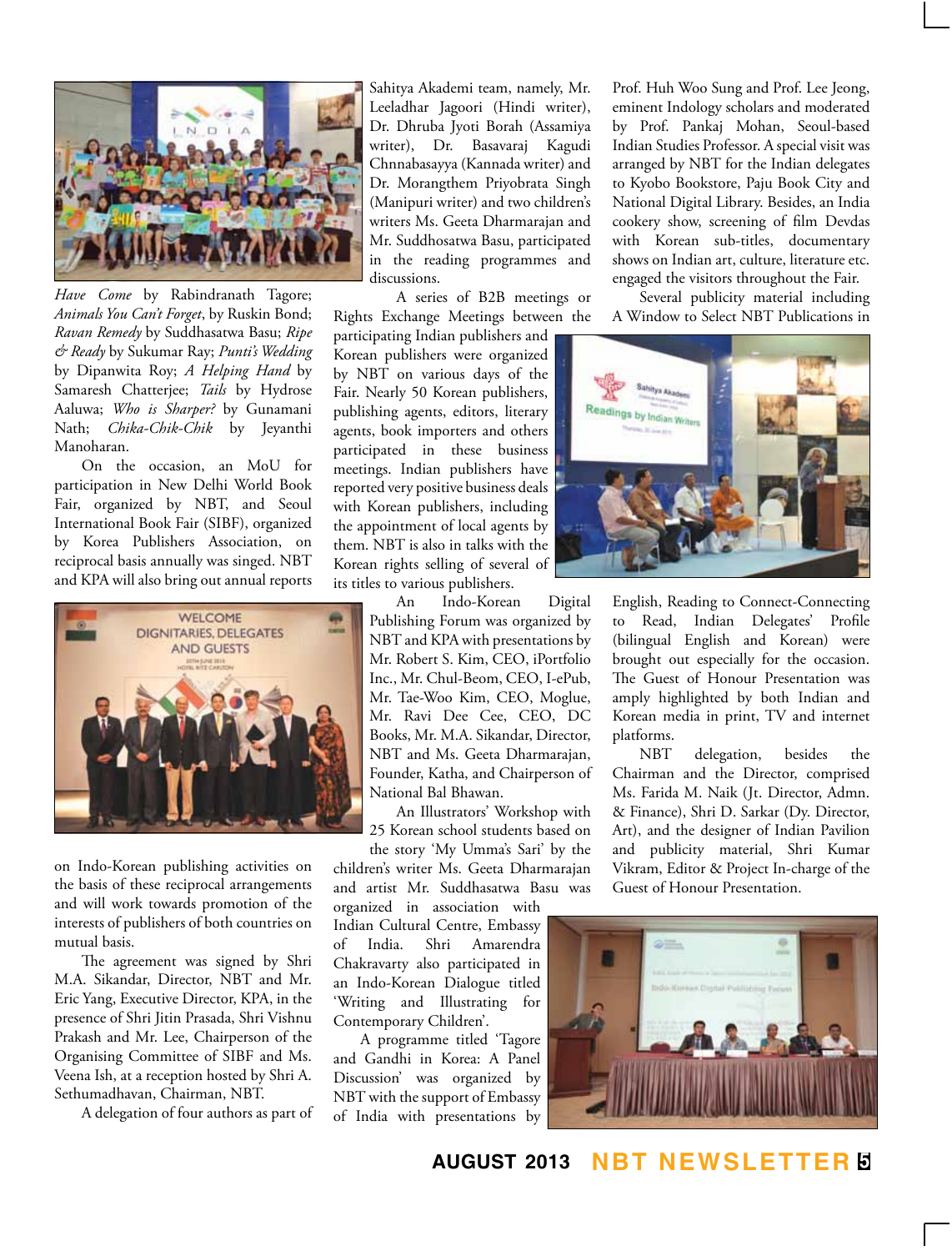

*Have Come* by Rabindranath Tagore; *Animals You Can't Forget*, by Ruskin Bond; *Ravan Remedy* by Suddhasatwa Basu; *Ripe & Ready* by Sukumar Ray; *Punti's Wedding*  by Dipanwita Roy; *A Helping Hand* by Samaresh Chatterjee; *Tails* by Hydrose Aaluwa; *Who is Sharper?* by Gunamani Nath; *Chika-Chik-Chik* by Jeyanthi Manoharan.

On the occasion, an MoU for participation in New Delhi World Book Fair, organized by NBT, and Seoul International Book Fair (SIBF), organized by Korea Publishers Association, on reciprocal basis annually was singed. NBT and KPA will also bring out annual reports



on Indo-Korean publishing activities on the basis of these reciprocal arrangements and will work towards promotion of the interests of publishers of both countries on mutual basis.

The agreement was signed by Shri M.A. Sikandar, Director, NBT and Mr. Eric Yang, Executive Director, KPA, in the presence of Shri Jitin Prasada, Shri Vishnu Prakash and Mr. Lee, Chairperson of the Organising Committee of SIBF and Ms. Veena Ish, at a reception hosted by Shri A. Sethumadhavan, Chairman, NBT.

A delegation of four authors as part of

Sahitya Akademi team, namely, Mr. Leeladhar Jagoori (Hindi writer), Dr. Dhruba Jyoti Borah (Assamiya writer), Dr. Basavaraj Kagudi Chnnabasayya (Kannada writer) and Dr. Morangthem Priyobrata Singh (Manipuri writer) and two children's writers Ms. Geeta Dharmarajan and Mr. Suddhosatwa Basu, participated in the reading programmes and discussions.

A series of B2B meetings or Rights Exchange Meetings between the

participating Indian publishers and Korean publishers were organized by NBT on various days of the Fair. Nearly 50 Korean publishers, publishing agents, editors, literary agents, book importers and others participated in these business meetings. Indian publishers have reported very positive business deals with Korean publishers, including the appointment of local agents by them. NBT is also in talks with the Korean rights selling of several of its titles to various publishers.

> An Indo-Korean Digital Publishing Forum was organized by NBT and KPA with presentations by Mr. Robert S. Kim, CEO, iPortfolio Inc., Mr. Chul-Beom, CEO, I-ePub, Mr. Tae-Woo Kim, CEO, Moglue, Mr. Ravi Dee Cee, CEO, DC Books, Mr. M.A. Sikandar, Director, NBT and Ms. Geeta Dharmarajan, Founder, Katha, and Chairperson of National Bal Bhawan.

An Illustrators' Workshop with 25 Korean school students based on the story 'My Umma's Sari' by the

children's writer Ms. Geeta Dharmarajan and artist Mr. Suddhasatwa Basu was

organized in association with Indian Cultural Centre, Embassy of India. Shri Amarendra Chakravarty also participated in an Indo-Korean Dialogue titled 'Writing and Illustrating for Contemporary Children'.

A programme titled 'Tagore and Gandhi in Korea: A Panel Discussion' was organized by NBT with the support of Embassy of India with presentations by Prof. Huh Woo Sung and Prof. Lee Jeong, eminent Indology scholars and moderated by Prof. Pankaj Mohan, Seoul-based Indian Studies Professor. A special visit was arranged by NBT for the Indian delegates to Kyobo Bookstore, Paju Book City and National Digital Library. Besides, an India cookery show, screening of film Devdas with Korean sub-titles, documentary shows on Indian art, culture, literature etc. engaged the visitors throughout the Fair.

Several publicity material including A Window to Select NBT Publications in



English, Reading to Connect-Connecting to Read, Indian Delegates' Profile (bilingual English and Korean) were brought out especially for the occasion. The Guest of Honour Presentation was amply highlighted by both Indian and Korean media in print, TV and internet platforms.

NBT delegation, besides the Chairman and the Director, comprised Ms. Farida M. Naik (Jt. Director, Admn. & Finance), Shri D. Sarkar (Dy. Director, Art), and the designer of Indian Pavilion and publicity material, Shri Kumar Vikram, Editor & Project In-charge of the Guest of Honour Presentation.



**august 2013 NBT Newsletter 5**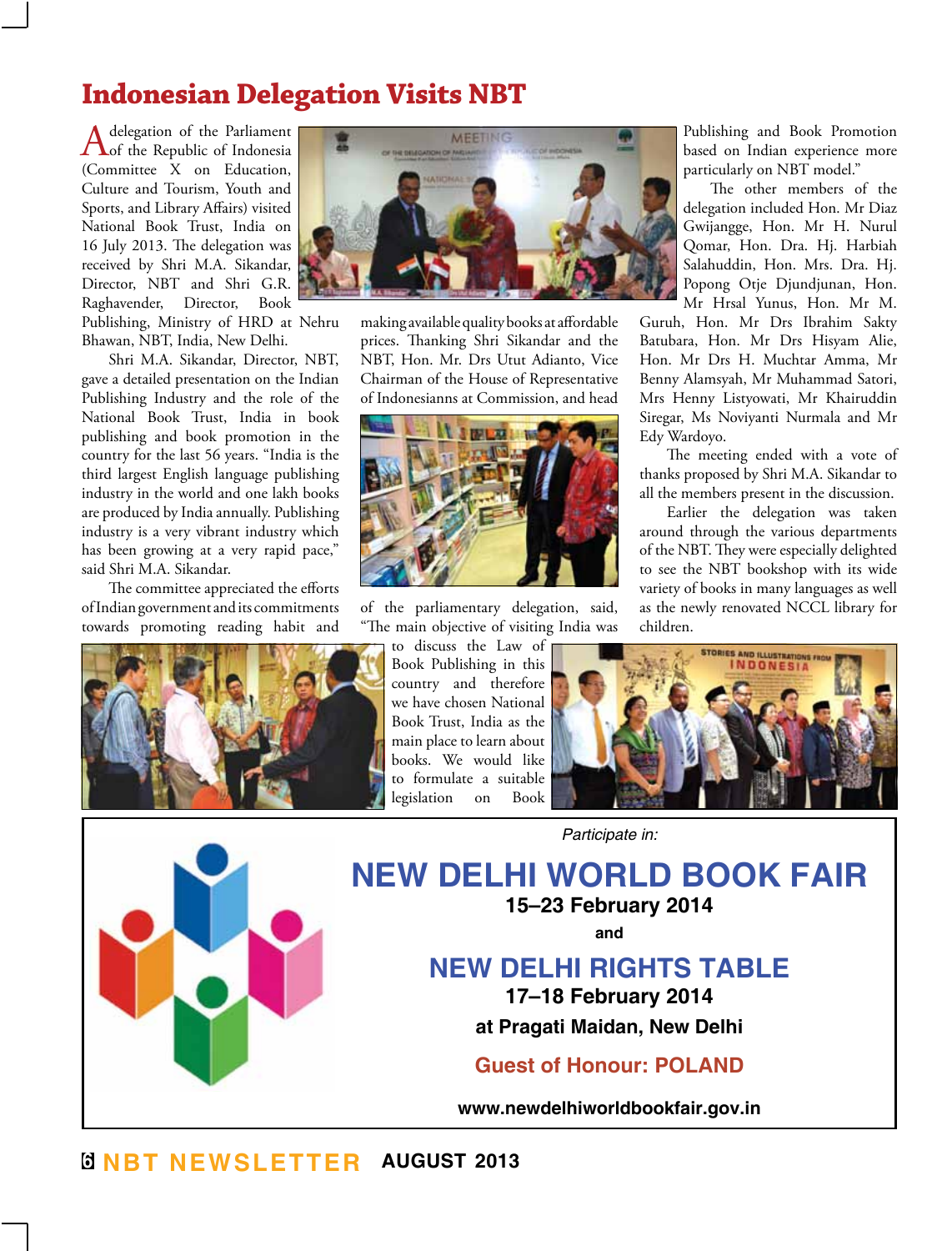## **Indonesian Delegation Visits NBT**

A delegation of the Parliament<br>
of the Republic of Indonesia (Committee X on Education, Culture and Tourism, Youth and Sports, and Library Affairs) visited National Book Trust, India on 16 July 2013. The delegation was received by Shri M.A. Sikandar, Director, NBT and Shri G.R. Raghavender, Director, Book Publishing, Ministry of HRD at Nehru Bhawan, NBT, India, New Delhi.

Shri M.A. Sikandar, Director, NBT, gave a detailed presentation on the Indian Publishing Industry and the role of the National Book Trust, India in book publishing and book promotion in the country for the last 56 years. "India is the third largest English language publishing industry in the world and one lakh books are produced by India annually. Publishing industry is a very vibrant industry which has been growing at a very rapid pace," said Shri M.A. Sikandar.

The committee appreciated the efforts of Indian government and its commitments towards promoting reading habit and





making available quality books at affordable prices. Thanking Shri Sikandar and the NBT, Hon. Mr. Drs Utut Adianto, Vice Chairman of the House of Representative of Indonesianns at Commission, and head



of the parliamentary delegation, said, "The main objective of visiting India was

> to discuss the Law of Book Publishing in this country and therefore we have chosen National Book Trust, India as the main place to learn about books. We would like to formulate a suitable legislation on Book

Publishing and Book Promotion based on Indian experience more particularly on NBT model."

The other members of the delegation included Hon. Mr Diaz Gwijangge, Hon. Mr H. Nurul Qomar, Hon. Dra. Hj. Harbiah Salahuddin, Hon. Mrs. Dra. Hj. Popong Otje Djundjunan, Hon. Mr Hrsal Yunus, Hon. Mr M.

Guruh, Hon. Mr Drs Ibrahim Sakty Batubara, Hon. Mr Drs Hisyam Alie, Hon. Mr Drs H. Muchtar Amma, Mr Benny Alamsyah, Mr Muhammad Satori, Mrs Henny Listyowati, Mr Khairuddin Siregar, Ms Noviyanti Nurmala and Mr Edy Wardoyo.

The meeting ended with a vote of thanks proposed by Shri M.A. Sikandar to all the members present in the discussion.

Earlier the delegation was taken around through the various departments of the NBT. They were especially delighted to see the NBT bookshop with its wide variety of books in many languages as well as the newly renovated NCCL library for children.



*Participate in:*

**NEW DELHI WORLD BOOK FAIR 15–23 February 2014**

**and**

## **NEW DELHI RIGHTS TABLE**

**17–18 February 2014**

**at Pragati Maidan, New Delhi**

**Guest of Honour: POLAND**

**www.newdelhiworldbookfair.gov.in**

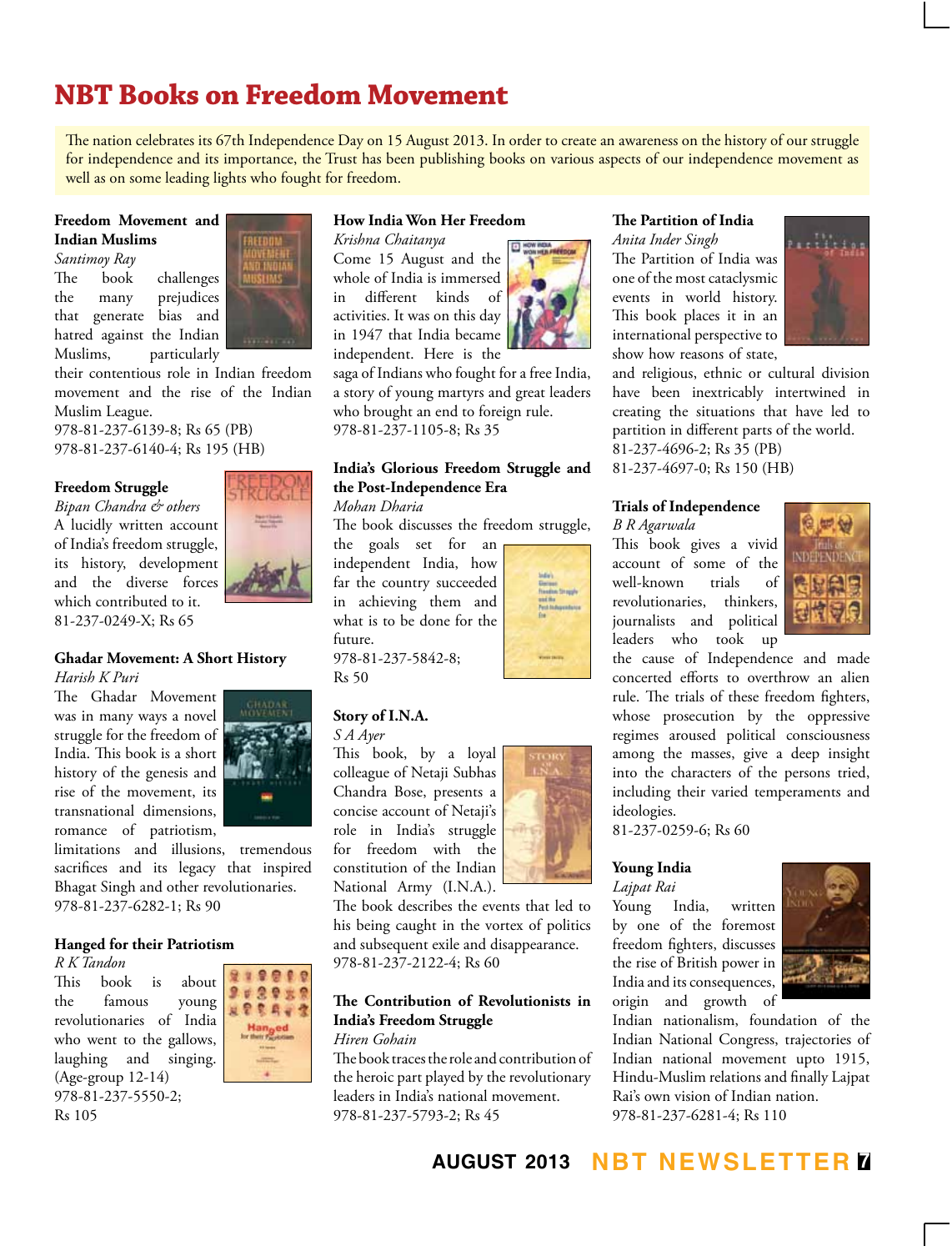# **NBT Books on Freedom Movement**

The nation celebrates its 67th Independence Day on 15 August 2013. In order to create an awareness on the history of our struggle for independence and its importance, the Trust has been publishing books on various aspects of our independence movement as well as on some leading lights who fought for freedom.

#### **Freedom Movement and Indian Muslims**

*Santimoy Ray* The book challenges the many prejudices that generate bias and hatred against the Indian Muslims, particularly



their contentious role in Indian freedom movement and the rise of the Indian Muslim League.

978-81-237-6139-8; Rs 65 (PB) 978-81-237-6140-4; Rs 195 (HB)

#### **Freedom Struggle**

*Bipan Chandra & others* A lucidly written account of India's freedom struggle, its history, development and the diverse forces which contributed to it. 81-237-0249-X; Rs 65



The Ghadar Movement was in many ways a novel struggle for the freedom of India. This book is a short history of the genesis and rise of the movement, its transnational dimensions, romance of patriotism,



limitations and illusions, tremendous sacrifices and its legacy that inspired Bhagat Singh and other revolutionaries. 978-81-237-6282-1; Rs 90

#### **Hanged for their Patriotism**

*R K Tandon*

This book is about the famous young revolutionaries of India who went to the gallows, laughing and singing. (Age-group 12-14) 978-81-237-5550-2; Rs 105



#### **How India Won Her Freedom**

*Krishna Chaitanya* Come 15 August and the whole of India is immersed in different kinds of activities. It was on this day in 1947 that India became independent. Here is the

saga of Indians who fought for a free India, a story of young martyrs and great leaders who brought an end to foreign rule. 978-81-237-1105-8; Rs 35

#### **India's Glorious Freedom Struggle and the Post-Independence Era** *Mohan Dharia*

The book discusses the freedom struggle,

the goals set for an independent India, how far the country succeeded in achieving them and what is to be done for the future.

978-81-237-5842-8; Rs 50

#### **Story of I.N.A.**

*S A Ayer*

This book, by a loyal colleague of Netaji Subhas Chandra Bose, presents a concise account of Netaji's role in India's struggle for freedom with the constitution of the Indian National Army (I.N.A.).



The book describes the events that led to his being caught in the vortex of politics and subsequent exile and disappearance. 978-81-237-2122-4; Rs 60

#### **The Contribution of Revolutionists in India's Freedom Struggle**

#### *Hiren Gohain*

The book traces the role and contribution of the heroic part played by the revolutionary leaders in India's national movement. 978-81-237-5793-2; Rs 45

**The Partition of India** *Anita Inder Singh*

The Partition of India was one of the most cataclysmic events in world history. This book places it in an international perspective to show how reasons of state,



and religious, ethnic or cultural division have been inextricably intertwined in creating the situations that have led to partition in different parts of the world. 81-237-4696-2; Rs 35 (PB)

81-237-4697-0; Rs 150 (HB)

#### **Trials of Independence**

*B R Agarwala*

This book gives a vivid account of some of the<br>well-known trials of well-known trials of revolutionaries, thinkers, journalists and political leaders who took up



the cause of Independence and made concerted efforts to overthrow an alien rule. The trials of these freedom fighters, whose prosecution by the oppressive regimes aroused political consciousness among the masses, give a deep insight into the characters of the persons tried, including their varied temperaments and ideologies.

81-237-0259-6; Rs 60

## **Young India**

*Lajpat Rai* Young India, written by one of the foremost freedom fighters, discusses the rise of British power in India and its consequences,



Indian nationalism, foundation of the Indian National Congress, trajectories of Indian national movement upto 1915, Hindu-Muslim relations and finally Lajpat Rai's own vision of Indian nation. 978-81-237-6281-4; Rs 110

## **august 2013 NBT Newsletter 7**